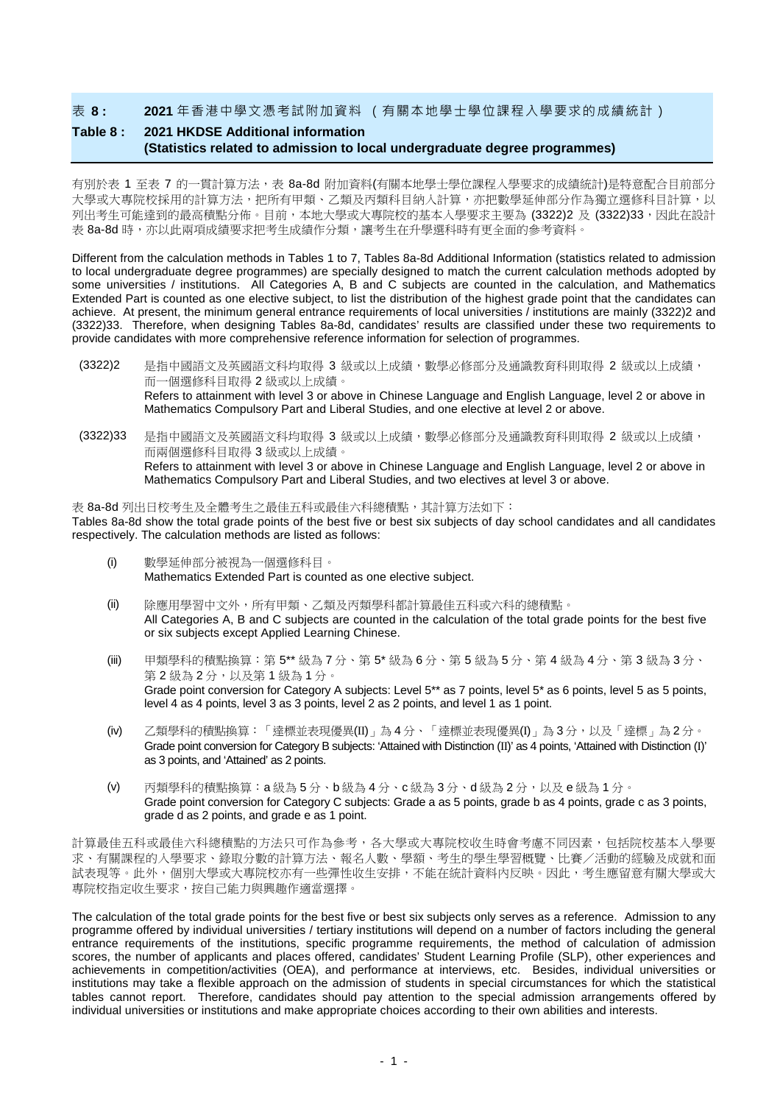表 **8 : 2021** 年香港中學文憑考試附加資料 (有關本地學士學位課程入學要求的成績統計)

## **Table 8 : 2021 HKDSE Additional information (Statistics related to admission to local undergraduate degree programmes)**

有別於表 1 至表 7 的一貫計算方法,表 8a-8d 附加資料(有關本地學十學位課程入學要求的成績統計)是特意配合目前部分 大學或大專院校採用的計算方法,把所有甲類、乙類及丙類科目納入計算,亦把數學延伸部分作為獨立選修科目計算,以 列出考生可能達到的最高積點分佈。目前,本地大學或大專院校的基本入學要求主要為 (3322)2 及 (3322)33,因此在設計 表 8a-8d 時,亦以此兩項成績要求把考生成績作分類,讓考生在升學選科時有更全面的參考資料。

Different from the calculation methods in Tables 1 to 7, Tables 8a-8d Additional Information (statistics related to admission to local undergraduate degree programmes) are specially designed to match the current calculation methods adopted by some universities / institutions. All Categories A, B and C subjects are counted in the calculation, and Mathematics Extended Part is counted as one elective subject, to list the distribution of the highest grade point that the candidates can achieve. At present, the minimum general entrance requirements of local universities / institutions are mainly (3322)2 and (3322)33. Therefore, when designing Tables 8a-8d, candidates' results are classified under these two requirements to provide candidates with more comprehensive reference information for selection of programmes.

- (3322)2 是指中國語文及英國語文科均取得 3 級或以上成績,數學必修部分及通識教育科則取得 2 級或以上成績, 而一個選修科目取得 2 級或以上成績。 Refers to attainment with level 3 or above in Chinese Language and English Language, level 2 or above in Mathematics Compulsory Part and Liberal Studies, and one elective at level 2 or above.
- (3322)33 是指中國語文及英國語文科均取得 3 級或以上成績,數學必修部分及通識教育科則取得 2 級或以上成績, 而兩個選修科目取得 3 級或以上成績。 Refers to attainment with level 3 or above in Chinese Language and English Language, level 2 or above in Mathematics Compulsory Part and Liberal Studies, and two electives at level 3 or above.

表 8a-8d 列出日校考生及全體考生之最佳五科或最佳六科總積點,其計算方法如下: Tables 8a-8d show the total grade points of the best five or best six subjects of day school candidates and all candidates respectively. The calculation methods are listed as follows:

- (i) 數學延伸部分被視為一個選修科目。 Mathematics Extended Part is counted as one elective subject.
- (ii) 除應用學習中文外,所有甲類、乙類及丙類學科都計算最佳五科或六科的總積點。 All Categories A, B and C subjects are counted in the calculation of the total grade points for the best five or six subjects except Applied Learning Chinese.
- (iii) 甲類學科的積點換算:第 5\*\* 級為 7 分、第 5\* 級為 6 分、第 5 級為 5 分、第 4 級為 4 分、第 3 級為 3 分、 第2級為2分,以及第1級為1分。 Grade point conversion for Category A subjects: Level 5<sup>\*\*</sup> as 7 points, level 5<sup>\*</sup> as 6 points, level 5 as 5 points, level 4 as 4 points, level 3 as 3 points, level 2 as 2 points, and level 1 as 1 point.
- (iv) 乙類學科的積點換算:「達標並表現優異(II)」為4分、「達標並表現優異(I)」為3分,以及「達標」為2分。 Grade point conversion for Category B subjects: 'Attained with Distinction (II)' as 4 points, 'Attained with Distinction (I)' as 3 points, and 'Attained' as 2 points.
- (v) 丙類學科的積點換算:a 級為 5 分、b 級為 4 分、c 級為 3 分、d 級為 2 分,以及 e 級為 1 分。 Grade point conversion for Category C subjects: Grade a as 5 points, grade b as 4 points, grade c as 3 points, grade d as 2 points, and grade e as 1 point.

計算最佳五科或最佳六科總積點的方法只可作為參考,各大學或大專院校收生時會考慮不同因素,包括院校基本入學要 求、有關課程的入學要求、錄取分數的計算方法、報名人數、學額、考生的學生學習概覽、比賽/活動的經驗及成就和面 試表現等。此外,個別大學或大專院校亦有一些彈性收生安排,不能在統計資料內反映。因此,考生應留意有關大學或大 專院校指定收生要求,按自己能力與興趣作適當選擇。

The calculation of the total grade points for the best five or best six subjects only serves as a reference. Admission to any programme offered by individual universities / tertiary institutions will depend on a number of factors including the general entrance requirements of the institutions, specific programme requirements, the method of calculation of admission scores, the number of applicants and places offered, candidates' Student Learning Profile (SLP), other experiences and achievements in competition/activities (OEA), and performance at interviews, etc. Besides, individual universities or institutions may take a flexible approach on the admission of students in special circumstances for which the statistical tables cannot report. Therefore, candidates should pay attention to the special admission arrangements offered by individual universities or institutions and make appropriate choices according to their own abilities and interests.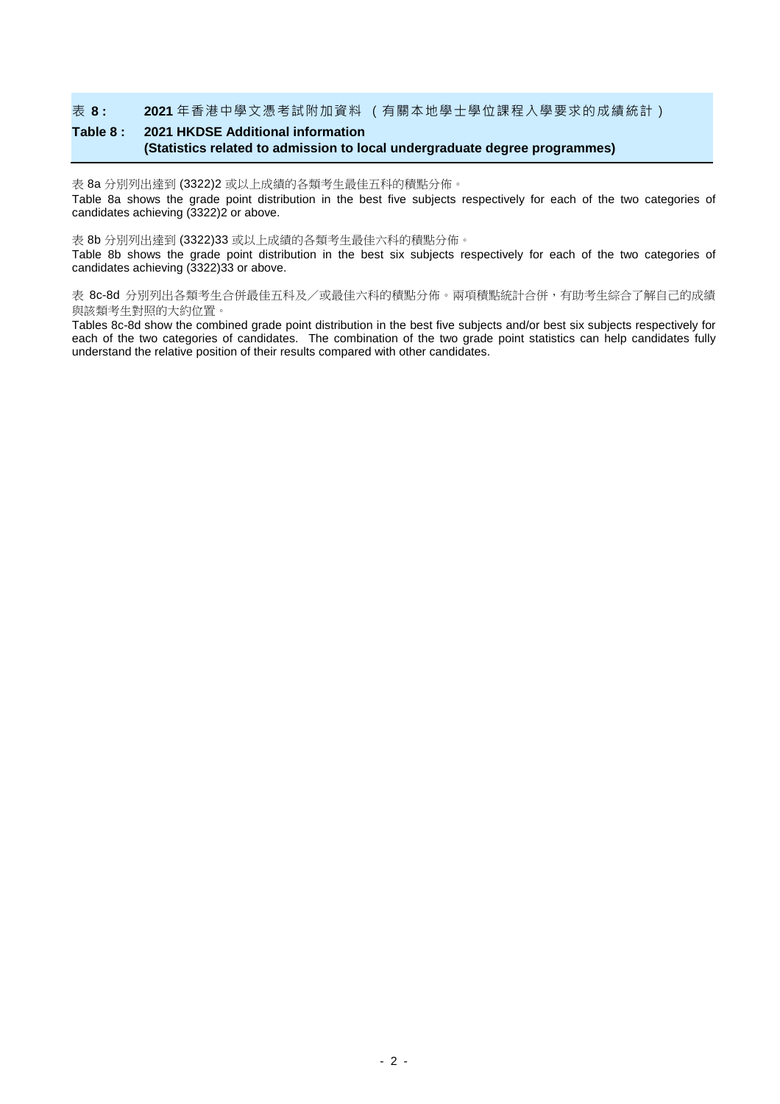#### 表 **8 : 2021** 年香港中學文憑考試附加資料 (有關本地學士學位課程入學要求的成績統計)

# **Table 8 : 2021 HKDSE Additional information (Statistics related to admission to local undergraduate degree programmes)**

表 8a 分別列出達到 (3322)2 或以上成績的各類考生最佳五科的積點分佈。

Table 8a shows the grade point distribution in the best five subjects respectively for each of the two categories of candidates achieving (3322)2 or above.

#### 表 8b 分別列出達到 (3322)33 或以上成績的各類考生最佳六科的積點分佈。

Table 8b shows the grade point distribution in the best six subjects respectively for each of the two categories of candidates achieving (3322)33 or above.

表 8c-8d 分別列出各類考生合併最佳五科及/或最佳六科的積點分佈。兩項積點統計合併,有助考生綜合了解自己的成績 與該類考生對照的大約位置。

Tables 8c-8d show the combined grade point distribution in the best five subjects and/or best six subjects respectively for each of the two categories of candidates. The combination of the two grade point statistics can help candidates fully understand the relative position of their results compared with other candidates.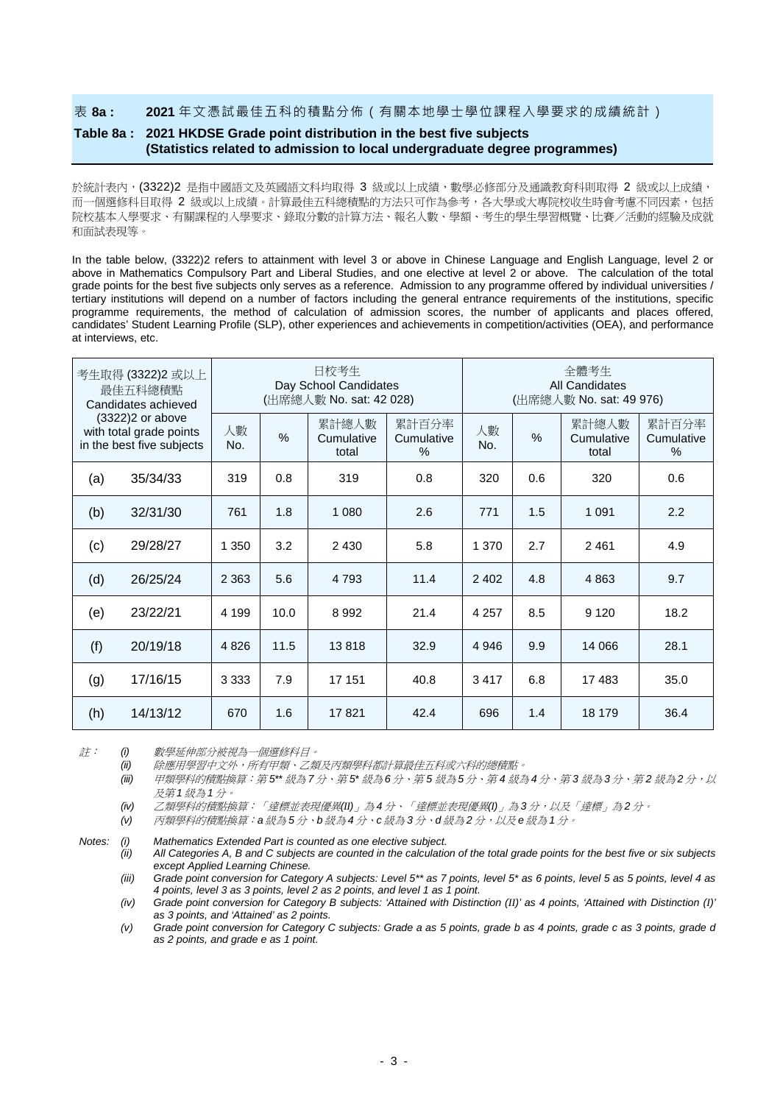表 **8a : 2021** 年文憑試最佳五科的積點分佈(有關本地學士學位課程入學要求的成績統計)

## **Table 8a : 2021 HKDSE Grade point distribution in the best five subjects (Statistics related to admission to local undergraduate degree programmes)**

於統計表內, (3322)2 是指中國語文及英國語文科均取得 3 級或以上成績,數學必修部分及通識教育科則取得 2 級或以上成績, 而一個選修科目取得 2 級或以上成績。計算最佳五科總積點的方法只可作為參考,各大學或大專院校收生時會考慮不同因素,包括 院校基本入學要求、有關課程的入學要求、錄取分數的計算方法、報名人數、學額、考生的學生學習概覽、比賽/活動的經驗及成就 和面試表現等。

In the table below, (3322)2 refers to attainment with level 3 or above in Chinese Language and English Language, level 2 or above in Mathematics Compulsory Part and Liberal Studies, and one elective at level 2 or above. The calculation of the total grade points for the best five subjects only serves as a reference. Admission to any programme offered by individual universities / tertiary institutions will depend on a number of factors including the general entrance requirements of the institutions, specific programme requirements, the method of calculation of admission scores, the number of applicants and places offered, candidates' Student Learning Profile (SLP), other experiences and achievements in competition/activities (OEA), and performance at interviews, etc.

| 考生取得 (3322)2 或以上<br>最佳五科總積點<br>Candidates achieved<br>(3322)2 or above<br>with total grade points<br>in the best five subjects |          |           |               | 日校考生<br>Day School Candidates<br>(出席總人數 No. sat: 42 028) |                             | 全體考生<br><b>All Candidates</b><br>(出席總人數 No. sat: 49 976) |     |                              |                             |  |
|--------------------------------------------------------------------------------------------------------------------------------|----------|-----------|---------------|----------------------------------------------------------|-----------------------------|----------------------------------------------------------|-----|------------------------------|-----------------------------|--|
|                                                                                                                                |          | 人數<br>No. | $\frac{0}{0}$ | 累計總人數<br>Cumulative<br>total                             | 累計百分率<br>Cumulative<br>$\%$ | 人數<br>No.                                                | %   | 累計總人數<br>Cumulative<br>total | 累計百分率<br>Cumulative<br>$\%$ |  |
| (a)                                                                                                                            | 35/34/33 | 319       | 0.8           | 319                                                      | 0.8                         | 320                                                      | 0.6 | 320                          | 0.6                         |  |
| (b)                                                                                                                            | 32/31/30 | 761       | 1.8           | 1 0 8 0                                                  | 2.6                         | 771                                                      | 1.5 | 1 0 9 1                      | 2.2                         |  |
| (c)                                                                                                                            | 29/28/27 | 1 350     | 3.2           | 2 4 3 0                                                  | 5.8                         | 1 370                                                    | 2.7 | 2461                         | 4.9                         |  |
| (d)                                                                                                                            | 26/25/24 | 2 3 6 3   | 5.6           | 4 7 9 3                                                  | 11.4                        | 2 4 0 2                                                  | 4.8 | 4863                         | 9.7                         |  |
| (e)                                                                                                                            | 23/22/21 | 4 1 9 9   | 10.0          | 8 9 9 2                                                  | 21.4                        | 4 2 5 7                                                  | 8.5 | 9 1 2 0                      | 18.2                        |  |
| (f)                                                                                                                            | 20/19/18 | 4 8 2 6   | 11.5          | 13818                                                    | 32.9                        | 4 9 4 6                                                  | 9.9 | 14 066                       | 28.1                        |  |
| (g)                                                                                                                            | 17/16/15 | 3 3 3 3   | 7.9           | 17 151                                                   | 40.8                        | 3417                                                     | 6.8 | 17483                        | 35.0                        |  |
| (h)                                                                                                                            | 14/13/12 | 670       | 1.6           | 17821                                                    | 42.4                        | 696                                                      | 1.4 | 18 179                       | 36.4                        |  |

註: *(i)* 數學延伸部分被視為一個選修科目。

*(ii)* 除應用學習中文外,所有甲類、乙類及丙類學科都計算最佳五科或六科的總積點。

*(iii)* 甲類學科的積點換算:第 *5\*\** 級為 *7*分、第 *5\** 級為 *6*分、第 *5* 級為 *5*分、第 *4* 級為 *4*分、第 *3* 級為 *3*分、第 *2* 級為 *2*分,以 及第 *1* 級為 *1*分。

*(iv)* 乙類學科的積點換算:「達標並表現優異*(II)*」為 *4* 分、「達標並表現優異*(I)*」為 *3* 分,以及「達標」為 *2* 分。

*(v)* 丙類學科的積點換算:*a* 級為 *5* 分、*b* 級為 *4* 分、*c* 級為 *3* 分、*d* 級為 *2* 分,以及 *e* 級為 *1* 分。

*Notes: (i) Mathematics Extended Part is counted as one elective subject.*

*(ii) All Categories A, B and C subjects are counted in the calculation of the total grade points for the best five or six subjects except Applied Learning Chinese.*

*(iii) Grade point conversion for Category A subjects: Level 5\*\* as 7 points, level 5\* as 6 points, level 5 as 5 points, level 4 as 4 points, level 3 as 3 points, level 2 as 2 points, and level 1 as 1 point.*

*(iv) Grade point conversion for Category B subjects: 'Attained with Distinction (II)' as 4 points, 'Attained with Distinction (I)' as 3 points, and 'Attained' as 2 points.*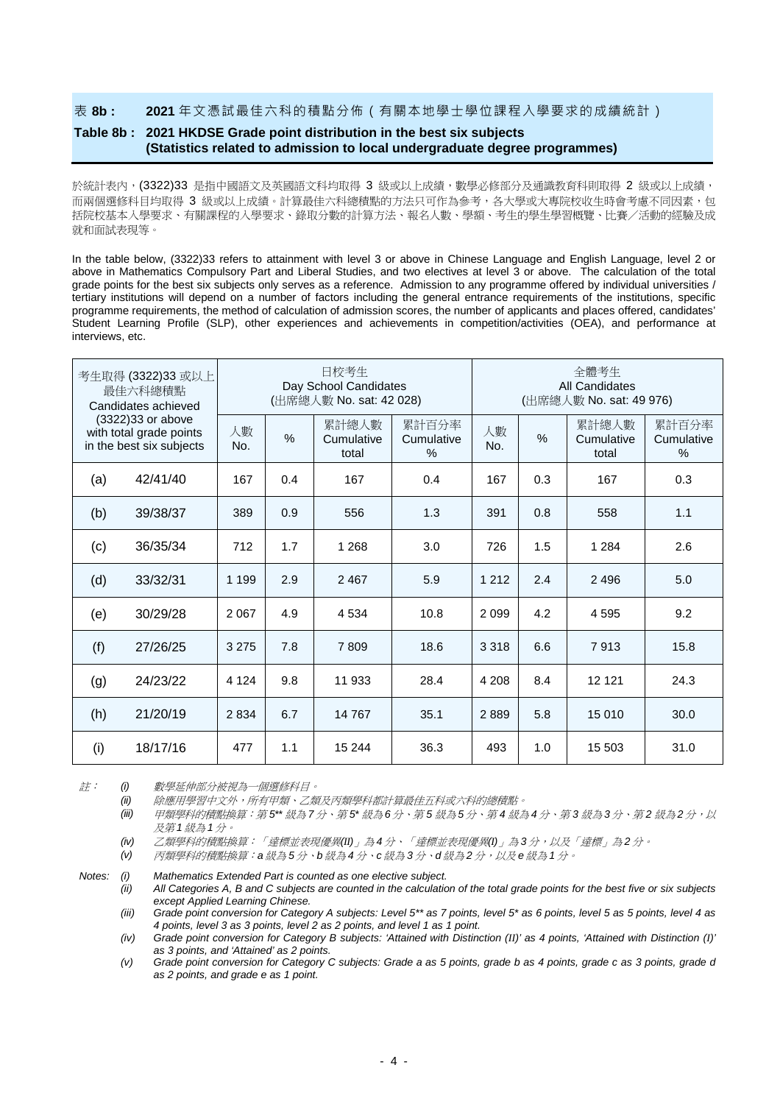#### 表 **8b : 2021** 年文憑試最佳六科的積點分佈(有關本地學士學位課程入學要求的成績統計)

## **Table 8b : 2021 HKDSE Grade point distribution in the best six subjects (Statistics related to admission to local undergraduate degree programmes)**

於統計表內, (3322)33 是指中國語文及英國語文科均取得 3 級或以上成績,數學必修部分及通識教育科則取得 2 級或以上成績, 而兩個選修科目均取得 3 級或以上成績。計算最佳六科總積點的方法只可作為參考,各大學或大專院校收生時會考慮不同因素,包 括院校基本入學要求、有關課程的入學要求、錄取分數的計算方法、報名人數、學額、考生的學生學習概覽、比賽/活動的經驗及成 就和面試表現等。

In the table below, (3322)33 refers to attainment with level 3 or above in Chinese Language and English Language, level 2 or above in Mathematics Compulsory Part and Liberal Studies, and two electives at level 3 or above. The calculation of the total grade points for the best six subjects only serves as a reference. Admission to any programme offered by individual universities / tertiary institutions will depend on a number of factors including the general entrance requirements of the institutions, specific programme requirements, the method of calculation of admission scores, the number of applicants and places offered, candidates' Student Learning Profile (SLP), other experiences and achievements in competition/activities (OEA), and performance at interviews, etc.

| 考生取得 (3322)33 或以上<br>最佳六科總積點<br>Candidates achieved<br>(3322) 33 or above<br>with total grade points<br>in the best six subjects |          |           |      | 日校考生<br>Day School Candidates<br>(出席總人數 No. sat: 42 028) |                          | 全體考生<br>All Candidates<br>(出席總人數 No. sat: 49 976) |     |                              |                                      |  |  |
|----------------------------------------------------------------------------------------------------------------------------------|----------|-----------|------|----------------------------------------------------------|--------------------------|---------------------------------------------------|-----|------------------------------|--------------------------------------|--|--|
|                                                                                                                                  |          | 人數<br>No. | $\%$ | 累計總人數<br>Cumulative<br>total                             | 累計百分率<br>Cumulative<br>% | 人數<br>No.                                         | %   | 累計總人數<br>Cumulative<br>total | 累計百分率<br>Cumulative<br>$\frac{0}{0}$ |  |  |
| (a)                                                                                                                              | 42/41/40 | 167       | 0.4  | 167                                                      | 0.4                      | 167                                               | 0.3 | 167                          | 0.3                                  |  |  |
| (b)                                                                                                                              | 39/38/37 | 389       | 0.9  | 556                                                      | 1.3                      | 391                                               | 0.8 | 558                          | 1.1                                  |  |  |
| (c)                                                                                                                              | 36/35/34 | 712       | 1.7  | 1 2 6 8                                                  | 3.0                      | 726                                               | 1.5 | 1 2 8 4                      | 2.6                                  |  |  |
| (d)                                                                                                                              | 33/32/31 | 1 1 9 9   | 2.9  | 2 4 6 7                                                  | 5.9                      | 1 2 1 2                                           | 2.4 | 2496                         | 5.0                                  |  |  |
| (e)                                                                                                                              | 30/29/28 | 2 0 6 7   | 4.9  | 4534                                                     | 10.8                     | 2099                                              | 4.2 | 4595                         | 9.2                                  |  |  |
| (f)                                                                                                                              | 27/26/25 | 3 2 7 5   | 7.8  | 7809                                                     | 18.6                     | 3 3 1 8                                           | 6.6 | 7913                         | 15.8                                 |  |  |
| (g)                                                                                                                              | 24/23/22 | 4 1 2 4   | 9.8  | 11 933                                                   | 28.4                     | 4 2 0 8                                           | 8.4 | 12 121                       | 24.3                                 |  |  |
| (h)                                                                                                                              | 21/20/19 | 2834      | 6.7  | 14 767                                                   | 35.1                     | 2889                                              | 5.8 | 15 010                       | 30.0                                 |  |  |
| (i)                                                                                                                              | 18/17/16 | 477       | 1.1  | 15 244                                                   | 36.3                     | 493                                               | 1.0 | 15 503                       | 31.0                                 |  |  |

註: *(i)* 數學延伸部分被視為一個選修科目。

*(ii)* 除應用學習中文外,所有甲類、乙類及丙類學科都計算最佳五科或六科的總積點。

*(iii)* 甲類學科的積點換算:第 *5\*\** 級為 *7*分、第 *5\** 級為 *6*分、第 *5* 級為 *5*分、第 *4* 級為 *4*分、第 *3* 級為 *3*分、第 *2* 級為 *2*分,以 及第 *1* 級為 *1*分。

*(iv)* 乙類學科的積點換算:「達標並表現優異*(II)*」為 *4* 分、「達標並表現優異*(I)*」為 *3* 分,以及「達標」為 *2* 分。

*(v)* 丙類學科的積點換算:*a* 級為 *5* 分、*b* 級為 *4* 分、*c* 級為 *3* 分、*d* 級為 *2* 分,以及 *e* 級為 *1* 分。

*Notes: (i) Mathematics Extended Part is counted as one elective subject.*

*(ii) All Categories A, B and C subjects are counted in the calculation of the total grade points for the best five or six subjects except Applied Learning Chinese.*

*(iii) Grade point conversion for Category A subjects: Level 5\*\* as 7 points, level 5\* as 6 points, level 5 as 5 points, level 4 as 4 points, level 3 as 3 points, level 2 as 2 points, and level 1 as 1 point.*

*(iv) Grade point conversion for Category B subjects: 'Attained with Distinction (II)' as 4 points, 'Attained with Distinction (I)' as 3 points, and 'Attained' as 2 points.*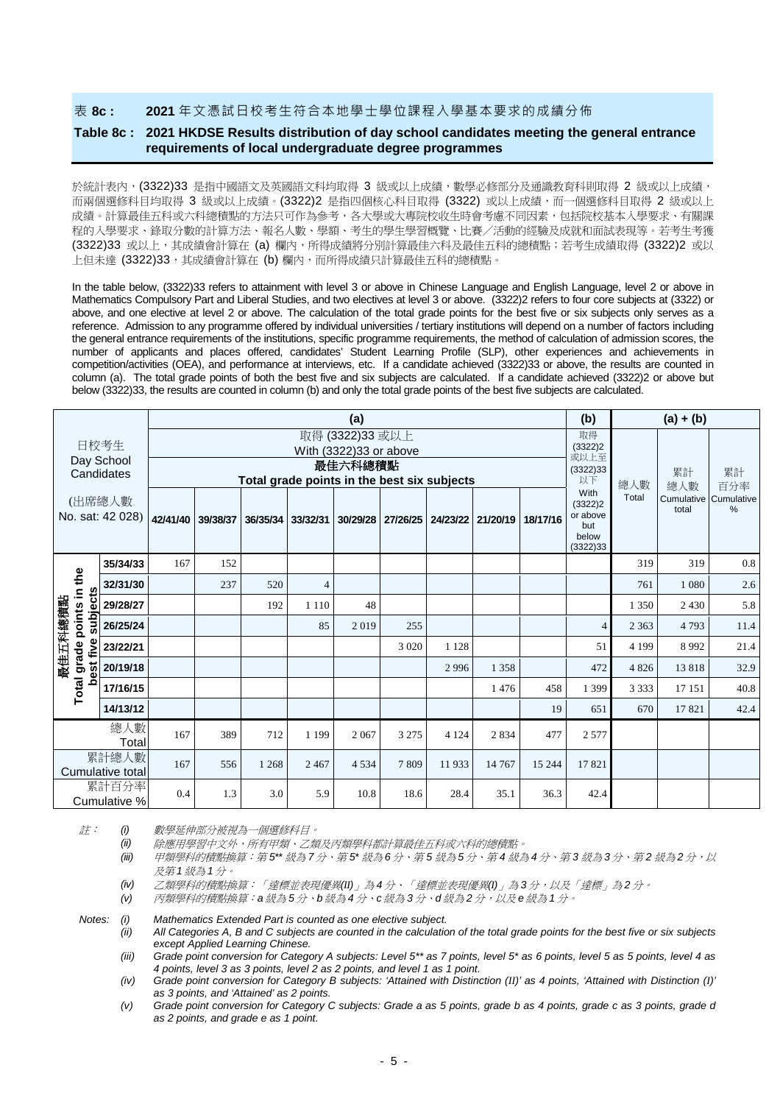表 **8c : 2021** 年文憑試日校考生符合本地學士學位課程入學基本要求的成績分佈

### **Table 8c : 2021 HKDSE Results distribution of day school candidates meeting the general entrance requirements of local undergraduate degree programmes**

於統計表內, (3322)33 是指中國語文及英國語文科均取得 3 級或以上成績,數學必修部分及通識教育科則取得 2 級或以上成績, 而兩個選修科目均取得 3 級或以上成績。(3322)2 是指四個核心科目取得 (3322) 或以上成績,而一個選修科目取得 2 級或以上 成績。計算最佳五科或六科總積點的方法只可作為參考,各大學或大專院校收生時會考慮不同因素,包括院校基本入學要求、有關課 程的入學要求、錄取分數的計算方法、報名人數、學額、考生的學生學習概覽、比賽/活動的經驗及成就和面試表現等。若考生考獲 (3322)33 或以上,其成績會計算在 (a) 欄內,所得成績將分別計算最佳六科及最佳五科的總積點;若考生成績取得 (3322)2 或以 上但未達 (3322)33,其成績會計算在 (b) 欄內,而所得成績只計算最佳五科的總積點。

In the table below, (3322)33 refers to attainment with level 3 or above in Chinese Language and English Language, level 2 or above in Mathematics Compulsory Part and Liberal Studies, and two electives at level 3 or above. (3322)2 refers to four core subjects at (3322) or above, and one elective at level 2 or above. The calculation of the total grade points for the best five or six subjects only serves as a reference. Admission to any programme offered by individual universities / tertiary institutions will depend on a number of factors including the general entrance requirements of the institutions, specific programme requirements, the method of calculation of admission scores, the number of applicants and places offered, candidates' Student Learning Profile (SLP), other experiences and achievements in competition/activities (OEA), and performance at interviews, etc. If a candidate achieved (3322)33 or above, the results are counted in column (a). The total grade points of both the best five and six subjects are calculated. If a candidate achieved (3322)2 or above but below (3322)33, the results are counted in column (b) and only the total grade points of the best five subjects are calculated.

|                                  | (a)      |     |                            |                                             |                                         |         |                   |           |          |          | (b)                                                     |         | $(a) + (b)$                    |      |  |
|----------------------------------|----------|-----|----------------------------|---------------------------------------------|-----------------------------------------|---------|-------------------|-----------|----------|----------|---------------------------------------------------------|---------|--------------------------------|------|--|
| 日校考生<br>Day School<br>Candidates |          |     |                            |                                             | 取得<br>(3322)2<br>或以上至<br>(3322)33<br>以下 | 總人數     | 累計<br>總人數         | 累計<br>百分率 |          |          |                                                         |         |                                |      |  |
|                                  |          |     |                            | Total grade points in the best six subjects |                                         |         |                   |           |          |          |                                                         |         |                                |      |  |
| (出席總人數<br>No. sat: 42 028)       |          |     | 42/41/40 39/38/37 36/35/34 |                                             | 33/32/31                                |         | 30/29/28 27/26/25 | 24/23/22  | 21/20/19 | 18/17/16 | With<br>(3322)2<br>or above<br>but<br>below<br>(3322)33 | Total   | Cumulative Cumulative<br>total | %    |  |
|                                  | 35/34/33 | 167 | 152                        |                                             |                                         |         |                   |           |          |          |                                                         | 319     | 319                            | 0.8  |  |
|                                  | 32/31/30 |     | 237                        | 520                                         | $\overline{4}$                          |         |                   |           |          |          |                                                         | 761     | 1 0 8 0                        | 2.6  |  |
| subjects                         | 29/28/27 |     |                            | 192                                         | 1 1 1 0                                 | 48      |                   |           |          |          |                                                         | 1 3 5 0 | 2 4 3 0                        | 5.8  |  |
| points in the                    | 26/25/24 |     |                            |                                             | 85                                      | 2019    | 255               |           |          |          | $\overline{4}$                                          | 2 3 6 3 | 4793                           | 11.4 |  |
| five                             | 23/22/21 |     |                            |                                             |                                         |         | 3 0 2 0           | 1 1 2 8   |          |          | 51                                                      | 4 1 9 9 | 8992                           | 21.4 |  |
| 最佳五科總積點<br>grade<br>est          | 20/19/18 |     |                            |                                             |                                         |         |                   | 2996      | 1 3 5 8  |          | 472                                                     | 4826    | 13818                          | 32.9 |  |
| Total<br>ŏ                       | 17/16/15 |     |                            |                                             |                                         |         |                   |           | 1476     | 458      | 1 3 9 9                                                 | 3 3 3 3 | 17 15 1                        | 40.8 |  |
|                                  | 14/13/12 |     |                            |                                             |                                         |         |                   |           |          | 19       | 651                                                     | 670     | 17821                          | 42.4 |  |
| 總人數<br>Total                     |          | 167 | 389                        | 712                                         | 1 1 9 9                                 | 2 0 6 7 | 3 2 7 5           | 4 1 2 4   | 2834     | 477      | 2577                                                    |         |                                |      |  |
| 累計總人數<br>Cumulative total        |          | 167 | 556                        | 1 2 6 8                                     | 2 4 6 7                                 | 4 5 3 4 | 7809              | 11933     | 14 7 67  | 15 244   | 17821                                                   |         |                                |      |  |
| 累計百分率<br>Cumulative %            |          | 0.4 | 1.3                        | 3.0                                         | 5.9                                     | 10.8    | 18.6              | 28.4      | 35.1     | 36.3     | 42.4                                                    |         |                                |      |  |

註: *(i)* 數學延伸部分被視為一個選修科目。

*(ii)* 除應用學習中文外,所有甲類、乙類及丙類學科都計算最佳五科或六科的總積點。

*(iii)* 甲類學科的積點換算:第 *5\*\** 級為 *7*分、第 *5\** 級為 *6*分、第 *5* 級為 *5*分、第 *4* 級為 *4*分、第 *3* 級為 *3*分、第 *2* 級為 *2*分,以 及第 *1* 級為 *1*分。

*(iv)* 乙類學科的積點換算:「達標並表現優異*(II)*」為 *4* 分、「達標並表現優異*(I)*」為 *3* 分,以及「達標」為 *2* 分。

*(v)* 丙類學科的積點換算:*a* 級為 *5* 分、*b* 級為 *4* 分、*c* 級為 *3* 分、*d* 級為 *2* 分,以及 *e* 級為 *1* 分。

*Notes: (i) Mathematics Extended Part is counted as one elective subject.*

*(ii) All Categories A, B and C subjects are counted in the calculation of the total grade points for the best five or six subjects except Applied Learning Chinese.*

*(iii) Grade point conversion for Category A subjects: Level 5\*\* as 7 points, level 5\* as 6 points, level 5 as 5 points, level 4 as 4 points, level 3 as 3 points, level 2 as 2 points, and level 1 as 1 point.*

*(iv) Grade point conversion for Category B subjects: 'Attained with Distinction (II)' as 4 points, 'Attained with Distinction (I)' as 3 points, and 'Attained' as 2 points.*